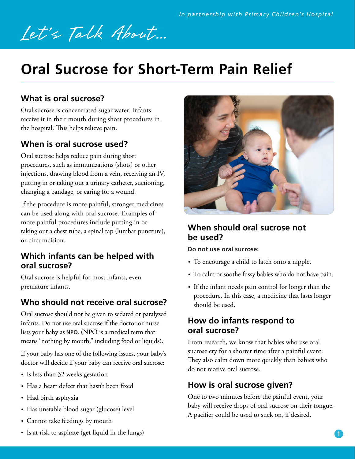# Let's Talk About...

# **Oral Sucrose for Short-Term Pain Relief**

# **What is oral sucrose?**

Oral sucrose is concentrated sugar water. Infants receive it in their mouth during short procedures in the hospital. This helps relieve pain.

# **When is oral sucrose used?**

Oral sucrose helps reduce pain during short procedures, such as immunizations (shots) or other injections, drawing blood from a vein, receiving an IV, putting in or taking out a urinary catheter, suctioning, changing a bandage, or caring for a wound.

If the procedure is more painful, stronger medicines can be used along with oral sucrose. Examples of more painful procedures include putting in or taking out a chest tube, a spinal tap (lumbar puncture), or circumcision.

#### **Which infants can be helped with oral sucrose?**

Oral sucrose is helpful for most infants, even premature infants.

# **Who should not receive oral sucrose?**

Oral sucrose should not be given to sedated or paralyzed infants. Do not use oral sucrose if the doctor or nurse lists your baby as **NPO.** (NPO is a medical term that means "nothing by mouth," including food or liquids).

If your baby has one of the following issues, your baby's doctor will decide if your baby can receive oral sucrose:

- Is less than 32 weeks gestation
- Has a heart defect that hasn't been fixed
- Had birth asphyxia
- Has unstable blood sugar (glucose) level
- Cannot take feedings by mouth



#### **When should oral sucrose not be used?**

**Do not use oral sucrose:**

- To encourage a child to latch onto a nipple.
- To calm or soothe fussy babies who do not have pain.
- If the infant needs pain control for longer than the procedure. In this case, a medicine that lasts longer should be used.

#### **How do infants respond to oral sucrose?**

From research, we know that babies who use oral sucrose cry for a shorter time after a painful event. They also calm down more quickly than babies who do not receive oral sucrose.

#### **How is oral sucrose given?**

One to two minutes before the painful event, your baby will receive drops of oral sucrose on their tongue. A pacifier could be used to suck on, if desired.

• Is at risk to aspirate (get liquid in the lungs)